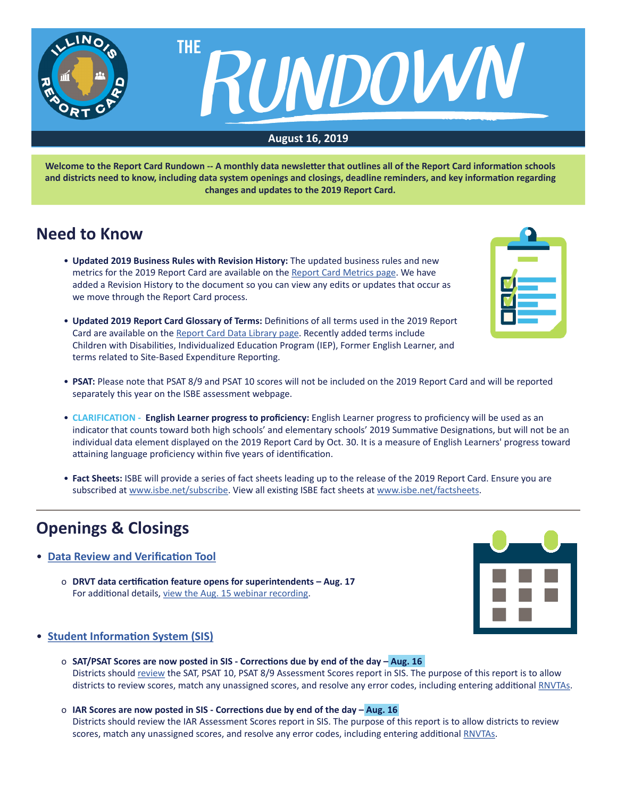

**Welcome to the Report Card Rundown -- A monthly data newsletter that outlines all of the Report Card information schools and districts need to know, including data system openings and closings, deadline reminders, and key information regarding changes and updates to the 2019 Report Card.**

# **Need to Know**

- **Updated 2019 Business Rules with Revision History:** The updated business rules and new metrics for the 2019 Report Card are available on the [Report Card Metrics page.](https://www.isbe.net/Pages/Report-Card-Metrics.aspx) We have added a Revision History to the document so you can view any edits or updates that occur as we move through the Report Card process.
- **Updated 2019 Report Card Glossary of Terms:** Definitions of all terms used in the 2019 Report Card are available on the [Report Card Data Library page.](https://www.isbe.net/Pages/Illinois-State-Report-Card-Data.aspx) Recently added terms include Children with Disabilities, Individualized Education Program (IEP), Former English Learner, and terms related to Site-Based Expenditure Reporting.



- **PSAT:** Please note that PSAT 8/9 and PSAT 10 scores will not be included on the 2019 Report Card and will be reported separately this year on the ISBE assessment webpage.
- **CLARIFICATION English Learner progress to proficiency:** English Learner progress to proficiency will be used as an indicator that counts toward both high schools' and elementary schools' 2019 Summative Designations, but will not be an individual data element displayed on the 2019 Report Card by Oct. 30. It is a measure of English Learners' progress toward attaining language proficiency within five years of identification.
- **Fact Sheets:** ISBE will provide a series of fact sheets leading up to the release of the 2019 Report Card. Ensure you are subscribed at [www.isbe.net/subscribe](http://www.isbe.net/subscribe). View all existing ISBE fact sheets at [www.isbe.net/factsheets](http://www.isbe.net/factsheets).

# **Openings & Closings**

- **Data Review and Verification Tool**
	- o **DRVT data certification feature opens for superintendents Aug. 17** For additional details, [view the Aug. 15 webinar recording](https://attendee.gotowebinar.com/recording/5581099433205520131).



## • **[Student Information System \(SIS](https://www.isbe.net/Pages/Student-Information-System.aspx))**

- o **SAT/PSAT Scores are now posted in SIS Corrections due by end of the day Aug. 16** Districts should [review](https://www.isbe.net/Documents/SAT-AC-Announcement.pdf) the SAT, PSAT 10, PSAT 8/9 Assessment Scores report in SIS. The purpose of this report is to allow districts to review scores, match any unassigned scores, and resolve any error codes, including entering additional [RNVTAs](https://www.isbe.net/Documents/reason-no-valid-test-attmpt.pdf).
- o **IAR Scores are now posted in SIS Corrections due by end of the day Aug. 16** Districts should review the IAR Assessment Scores report in SIS. The purpose of this report is to allow districts to review scores, match any unassigned scores, and resolve any error codes, including entering additional [RNVTAs](https://www.isbe.net/Documents/reason-no-valid-test-attmpt.pdf).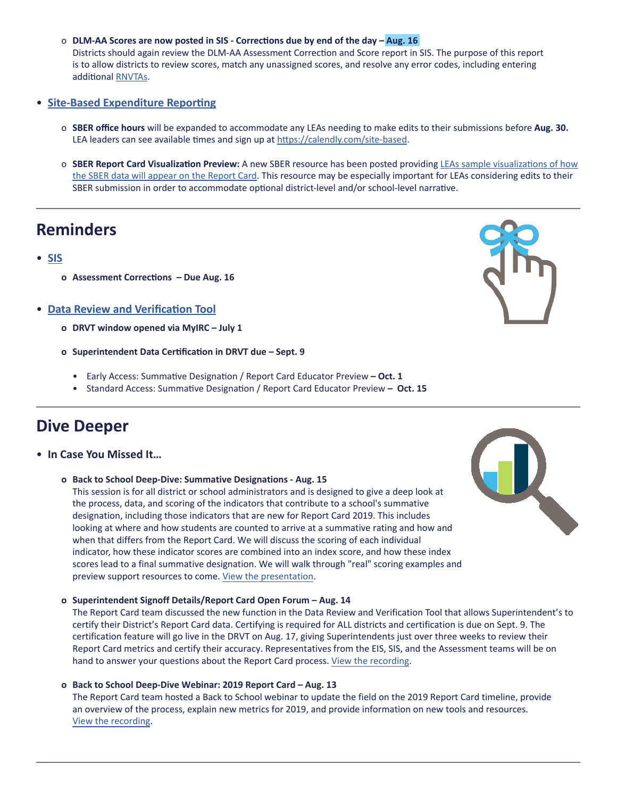o **DLM-AA Scores are now posted in SIS - Corrections due by end of the day – Aug. 16**

Districts should again review the DLM-AA Assessment Correction and Score report in SIS. The purpose of this report is to allow districts to review scores, match any unassigned scores, and resolve any error codes, including entering additional [RNVTAs](https://www.isbe.net/Documents/reason-no-valid-test-attmpt.pdf).

### • **[Site-Based Expenditure Reporting](https://www.isbe.net/site-based)**

- o **SBER office hours** will be expanded to accommodate any LEAs needing to make edits to their submissions before **Aug. 30.** LEA leaders can see available times and sign up at <https://calendly.com/site-based>.
- o **SBER Report Card Visualization Preview:** A new SBER resource has been posted providing LEAs sample [visualizations](https://www.isbe.net/Documents/SBER-Visualization-Overview-Districts.pdf) of how the SBER data will [appear](https://www.isbe.net/Documents/SBER-Visualization-Overview-Districts.pdf) on the Report Card. This resource may be especially important for LEAs considering edits to their SBER submission in order to accommodate optional district-level and/or school-level narrative.

# **Reminders**

- **[SIS](https://www.isbe.net/Pages/Student-Information-System.aspx)**
	- **o Assessment Corrections Due Aug. 16**
- **Data Review and Verification Tool**
	- **o DRVT window opened via MyIRC July 1**
	- **o Superintendent Data Certification in DRVT due Sept. 9**
		- Early Access: Summative Designation / Report Card Educator Preview  **Oct. 1**
		- Standard Access: Summative Designation / Report Card Educator Preview  **Oct. 15**

# **Dive Deeper**

- **In Case You Missed It…**
	- **o Back to School Deep-Dive: Summative Designations Aug. 15**

This session is for all district or school administrators and is designed to give a deep look at the process, data, and scoring of the indicators that contribute to a school's summative designation, including those indicators that are new for Report Card 2019. This includes looking at where and how students are counted to arrive at a summative rating and how and when that differs from the Report Card. We will discuss the scoring of each individual indicator, how these indicator scores are combined into an index score, and how these index scores lead to a final summative designation. We will walk through "real" scoring examples and preview support resources to come. View the [presentation](https://www.isbe.net/Documents/2019-Summative-Designations-Deep-Dive.pdf).

**o Superintendent Signoff Details/Report Card Open Forum – Aug. 14**

The Report Card team discussed the new function in the Data Review and Verification Tool that allows Superintendent's to certify their District's Report Card data. Certifying is required for ALL districts and certification is due on Sept. 9. The certification feature will go live in the DRVT on Aug. 17, giving Superintendents just over three weeks to review their Report Card metrics and certify their accuracy. Representatives from the EIS, SIS, and the Assessment teams will be on hand to answer your questions about the Report Card process. [View the recording](https://attendee.gotowebinar.com/recording/5581099433205520131).

**o Back to School Deep-Dive Webinar: 2019 Report Card – Aug. 13** The Report Card team hosted a Back to School webinar to update the field on the 2019 Report Card timeline, provide an overview of the process, explain new metrics for 2019, and provide information on new tools and resources. [View the recording](https://register.gotowebinar.com/recording/7579770779452685315).